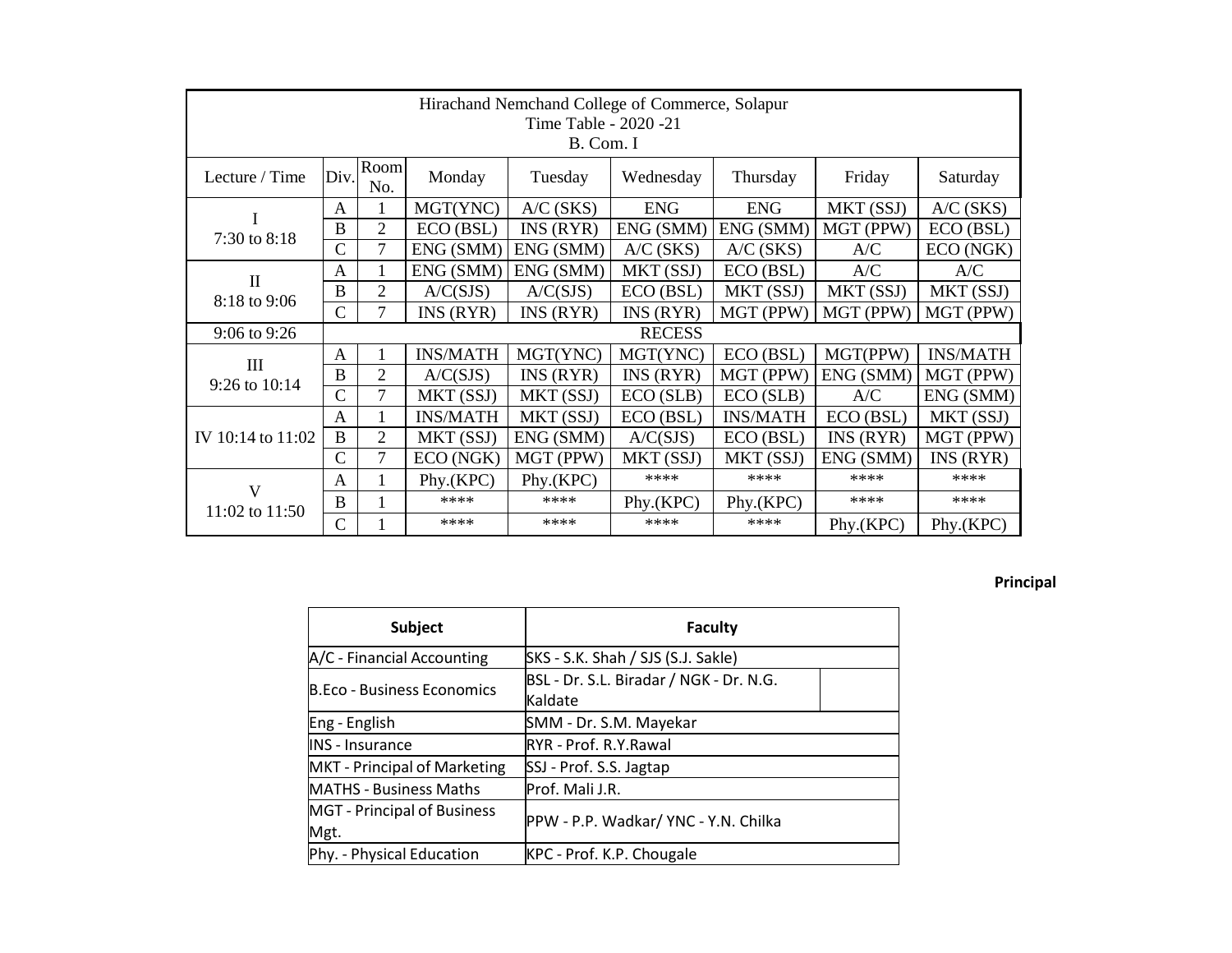| Hirachand Nemchand College of Commerce, Solapur<br>Time Table - 2020 -21<br>B. Com. I |               |                |                 |             |             |                 |           |                 |
|---------------------------------------------------------------------------------------|---------------|----------------|-----------------|-------------|-------------|-----------------|-----------|-----------------|
| Lecture / Time                                                                        | Div.          | Room<br>No.    | Monday          | Tuesday     | Wednesday   | Thursday        | Friday    | Saturday        |
|                                                                                       | A             | 1              | MGT(YNC)        | $A/C$ (SKS) | <b>ENG</b>  | <b>ENG</b>      | MKT (SSJ) | $A/C$ (SKS)     |
| 7:30 to 8:18                                                                          | B             | 2              | ECO (BSL)       | INS(RYR)    | ENG (SMM)   | ENG (SMM)       | MGT (PPW) | ECO (BSL)       |
|                                                                                       | $\mathcal{C}$ | 7              | ENG (SMM)       | ENG (SMM)   | $A/C$ (SKS) | $A/C$ (SKS)     | A/C       | ECO (NGK)       |
| П<br>8:18 to 9:06                                                                     | A             |                | ENG (SMM)       | ENG (SMM)   | MKT (SSJ)   | ECO (BSL)       | A/C       | A/C             |
|                                                                                       | B             | 2              | A/C(SJS)        | A/C(SJS)    | ECO (BSL)   | MKT (SSJ)       | MKT (SSJ) | MKT (SSJ)       |
|                                                                                       | $\mathcal{C}$ | 7              | INS(RYR)        | INS(RYR)    | INS(RYR)    | MGT (PPW)       | MGT (PPW) | MGT (PPW)       |
| $9:06$ to $9:26$                                                                      | <b>RECESS</b> |                |                 |             |             |                 |           |                 |
| III<br>9:26 to $10:14$                                                                | A             | 1              | <b>INS/MATH</b> | MGT(YNC)    | MGT(YNC)    | ECO(BSL)        | MGT(PPW)  | <b>INS/MATH</b> |
|                                                                                       | B             | $\overline{2}$ | A/C(SJS)        | INS(RYR)    | INS(RYR)    | MGT (PPW)       | ENG (SMM) | MGT (PPW)       |
|                                                                                       | $\mathcal{C}$ | 7              | MKT (SSJ)       | MKT (SSJ)   | ECO (SLB)   | ECO(SLB)        | A/C       | ENG (SMM)       |
| IV 10:14 to 11:02                                                                     | $\mathsf{A}$  |                | <b>INS/MATH</b> | MKT (SSJ)   | ECO (BSL)   | <b>INS/MATH</b> | ECO (BSL) | MKT (SSJ)       |
|                                                                                       | B             | $\overline{2}$ | MKT (SSJ)       | ENG (SMM)   | A/C(SJS)    | ECO (BSL)       | INS(RYR)  | MGT (PPW)       |
|                                                                                       | $\mathcal{C}$ | 7              | ECO (NGK)       | MGT (PPW)   | MKT (SSJ)   | MKT (SSJ)       | ENG (SMM) | INS(RYR)        |
| $\mathbf{V}$<br>11:02 to 11:50                                                        | $\mathsf{A}$  | 1              | Phy.(KPC)       | Phy.(KPC)   | ****        | ****            | ****      | ****            |
|                                                                                       | B             |                | ****            | ****        | Phy.(KPC)   | Phy.(KPC)       | ****      | ****            |
|                                                                                       | $\mathcal{C}$ |                | ****            | ****        | ****        | ****            | Phy.(KPC) | Phy.(KPC)       |

**Principal**

| <b>Subject</b>                    | <b>Faculty</b>                          |  |  |  |  |
|-----------------------------------|-----------------------------------------|--|--|--|--|
| A/C - Financial Accounting        | SKS - S.K. Shah / SJS (S.J. Sakle)      |  |  |  |  |
| <b>B.Eco - Business Economics</b> | BSL - Dr. S.L. Biradar / NGK - Dr. N.G. |  |  |  |  |
|                                   | Kaldate                                 |  |  |  |  |
| Eng - English                     | SMM - Dr. S.M. Mayekar                  |  |  |  |  |
| <b>INS</b> - Insurance            | RYR - Prof. R.Y.Rawal                   |  |  |  |  |
| MKT - Principal of Marketing      | SSJ - Prof. S.S. Jagtap                 |  |  |  |  |
| <b>MATHS - Business Maths</b>     | Prof. Mali J.R.                         |  |  |  |  |
| MGT - Principal of Business       | PPW - P.P. Wadkar/ YNC - Y.N. Chilka    |  |  |  |  |
| Mgt.                              |                                         |  |  |  |  |
| Phy. - Physical Education         | KPC - Prof. K.P. Chougale               |  |  |  |  |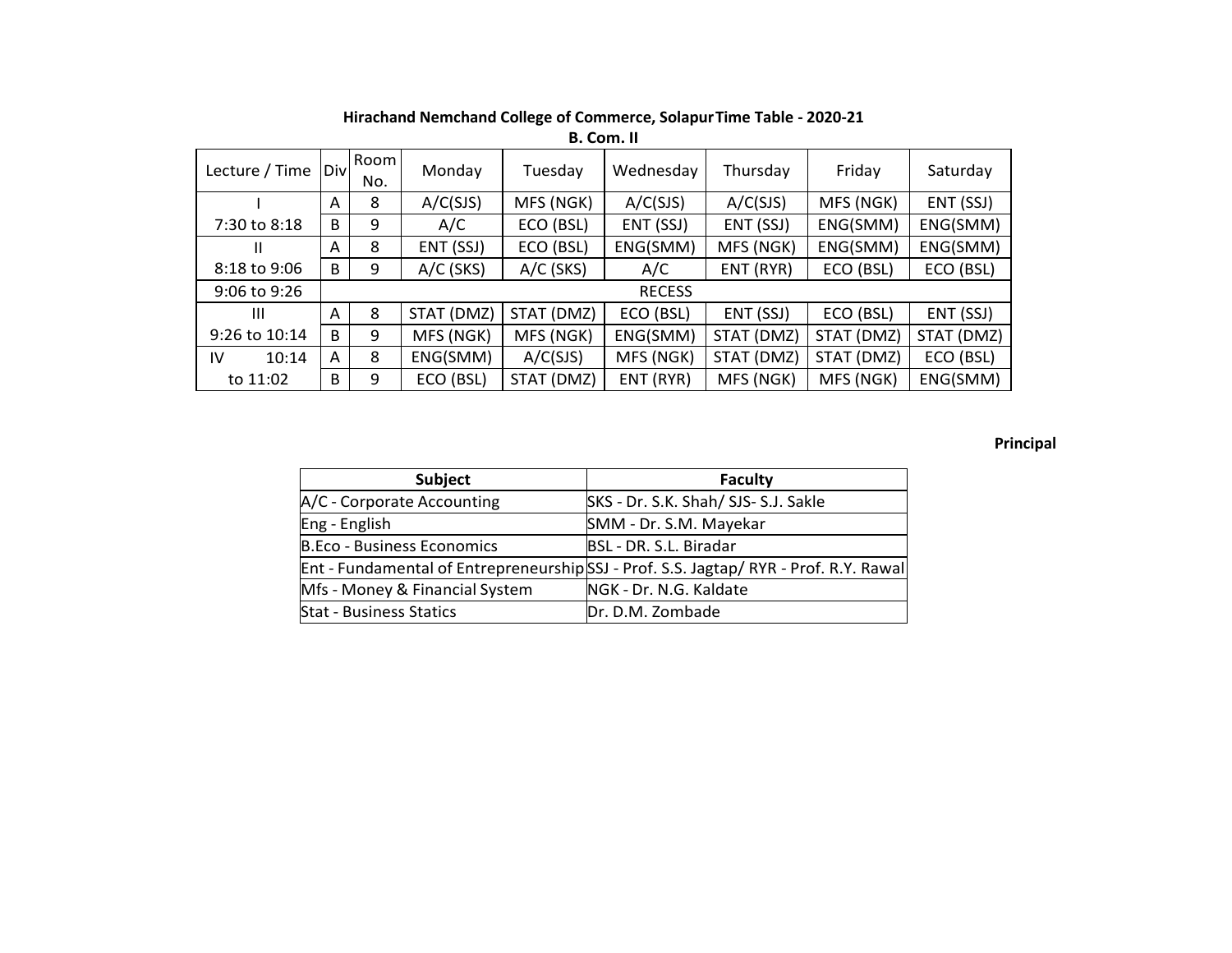| Lecture / Time | Div | Room<br>No.   | Monday      | Tuesday     | Wednesday | Thursday   | Friday     | Saturday   |  |
|----------------|-----|---------------|-------------|-------------|-----------|------------|------------|------------|--|
|                | A   | 8             | A/C(SJS)    | MFS (NGK)   | A/C(SJS)  | A/C(SJS)   | MFS (NGK)  | ENT (SSJ)  |  |
| 7:30 to 8:18   | B   | 9             | A/C         | ECO (BSL)   | ENT (SSJ) | ENT (SSJ)  | ENG(SMM)   | ENG(SMM)   |  |
|                | Α   | 8             | ENT (SSJ)   | ECO (BSL)   | ENG(SMM)  | MFS (NGK)  | ENG(SMM)   | ENG(SMM)   |  |
| 8:18 to 9:06   | B   | 9             | $A/C$ (SKS) | $A/C$ (SKS) | A/C       | ENT (RYR)  | ECO (BSL)  | ECO (BSL)  |  |
| 9:06 to 9:26   |     | <b>RECESS</b> |             |             |           |            |            |            |  |
| Ш              | Α   | 8             | STAT (DMZ)  | STAT (DMZ)  | ECO (BSL) | ENT (SSJ)  | ECO (BSL)  | ENT (SSJ)  |  |
| 9:26 to 10:14  | B   | 9             | MFS (NGK)   | MFS (NGK)   | ENG(SMM)  | STAT (DMZ) | STAT (DMZ) | STAT (DMZ) |  |
| 10:14<br>IV    | A   | 8             | ENG(SMM)    | A/C(SJS)    | MFS (NGK) | STAT (DMZ) | STAT (DMZ) | ECO (BSL)  |  |
| to 11:02       | B   | 9             | ECO (BSL)   | STAT (DMZ)  | ENT (RYR) | MFS (NGK)  | MFS (NGK)  | ENG(SMM)   |  |

**Hirachand Nemchand College of Commerce, SolapurTime Table - 2020-21**

**B. Com. II**

**Principal**

| Subject                           | <b>Faculty</b>                                                                       |
|-----------------------------------|--------------------------------------------------------------------------------------|
| A/C - Corporate Accounting        | SKS - Dr. S.K. Shah/ SJS- S.J. Sakle                                                 |
| Eng - English                     | SMM - Dr. S.M. Mayekar                                                               |
| <b>B.Eco - Business Economics</b> | BSL - DR. S.L. Biradar                                                               |
|                                   | Ent - Fundamental of Entrepreneurship SSJ - Prof. S.S. Jagtap/RYR - Prof. R.Y. Rawal |
| Mfs - Money & Financial System    | NGK - Dr. N.G. Kaldate                                                               |
| <b>Stat - Business Statics</b>    | Dr. D.M. Zombade                                                                     |